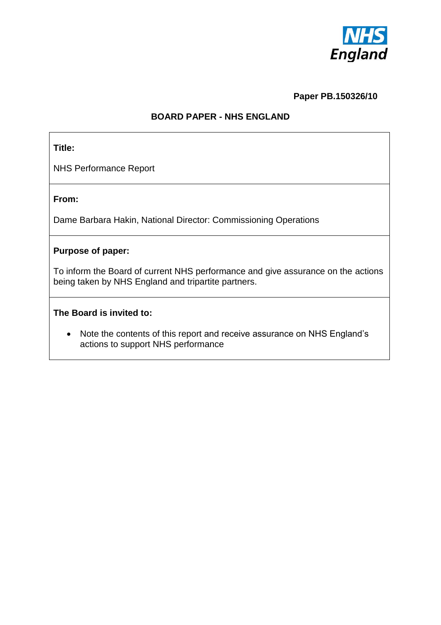

## **Paper PB.150326/10**

# **BOARD PAPER - NHS ENGLAND**

## **Title:**

NHS Performance Report

## **From:**

Dame Barbara Hakin, National Director: Commissioning Operations

## **Purpose of paper:**

To inform the Board of current NHS performance and give assurance on the actions being taken by NHS England and tripartite partners.

## **The Board is invited to:**

• Note the contents of this report and receive assurance on NHS England's actions to support NHS performance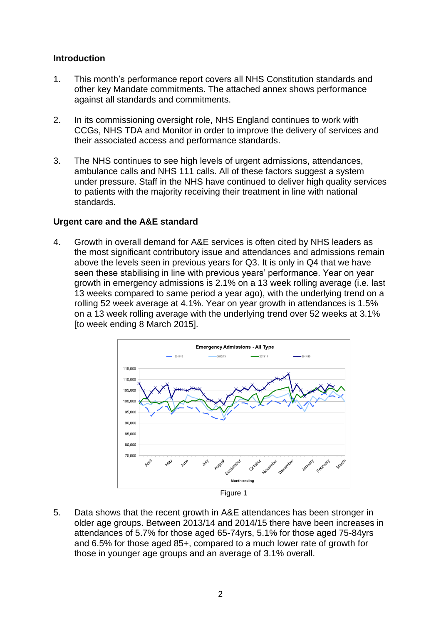## **Introduction**

- 1. This month's performance report covers all NHS Constitution standards and other key Mandate commitments. The attached annex shows performance against all standards and commitments.
- 2. In its commissioning oversight role, NHS England continues to work with CCGs, NHS TDA and Monitor in order to improve the delivery of services and their associated access and performance standards.
- 3. The NHS continues to see high levels of urgent admissions, attendances, ambulance calls and NHS 111 calls. All of these factors suggest a system under pressure. Staff in the NHS have continued to deliver high quality services to patients with the majority receiving their treatment in line with national standards.

## **Urgent care and the A&E standard**

4. Growth in overall demand for A&E services is often cited by NHS leaders as the most significant contributory issue and attendances and admissions remain above the levels seen in previous years for Q3. It is only in Q4 that we have seen these stabilising in line with previous years' performance. Year on year growth in emergency admissions is 2.1% on a 13 week rolling average (i.e. last 13 weeks compared to same period a year ago), with the underlying trend on a rolling 52 week average at 4.1%. Year on year growth in attendances is 1.5% on a 13 week rolling average with the underlying trend over 52 weeks at 3.1% [to week ending 8 March 2015].



5. Data shows that the recent growth in A&E attendances has been stronger in older age groups. Between 2013/14 and 2014/15 there have been increases in attendances of 5.7% for those aged 65-74yrs, 5.1% for those aged 75-84yrs and 6.5% for those aged 85+, compared to a much lower rate of growth for those in younger age groups and an average of 3.1% overall.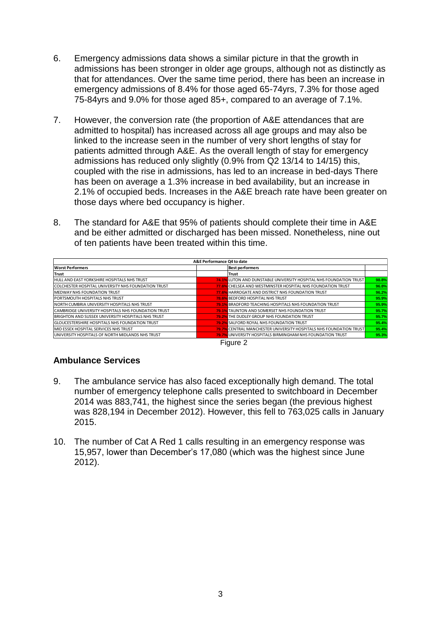- 6. Emergency admissions data shows a similar picture in that the growth in admissions has been stronger in older age groups, although not as distinctly as that for attendances. Over the same time period, there has been an increase in emergency admissions of 8.4% for those aged 65-74yrs, 7.3% for those aged 75-84yrs and 9.0% for those aged 85+, compared to an average of 7.1%.
- 7. However, the conversion rate (the proportion of A&E attendances that are admitted to hospital) has increased across all age groups and may also be linked to the increase seen in the number of very short lengths of stay for patients admitted through A&E. As the overall length of stay for emergency admissions has reduced only slightly (0.9% from Q2 13/14 to 14/15) this, coupled with the rise in admissions, has led to an increase in bed-days There has been on average a 1.3% increase in bed availability, but an increase in 2.1% of occupied beds. Increases in the A&E breach rate have been greater on those days where bed occupancy is higher.
- 8. The standard for A&E that 95% of patients should complete their time in A&E and be either admitted or discharged has been missed. Nonetheless, nine out of ten patients have been treated within this time.

| A&E Performance Q4 to date                                  |       |                                                                           |       |  |  |  |  |
|-------------------------------------------------------------|-------|---------------------------------------------------------------------------|-------|--|--|--|--|
| <b>Worst Performers</b>                                     |       | <b>Best performers</b>                                                    |       |  |  |  |  |
| <b>Trust</b>                                                |       | Trust                                                                     |       |  |  |  |  |
| <b>HULL AND EAST YORKSHIRE HOSPITALS NHS TRUST</b>          |       | <b>74.1% LUTON AND DUNSTABLE UNIVERSITY HOSPITAL NHS FOUNDATION TRUST</b> | 98.8% |  |  |  |  |
| <b>ICOLCHESTER HOSPITAL UNIVERSITY NHS FOUNDATION TRUST</b> | 77.6% | GICHELSEA AND WESTMINSTER HOSPITAL NHS FOUNDATION TRUST                   | 96.8% |  |  |  |  |
| MEDWAY NHS FOUNDATION TRUST                                 |       | 77.6% HARROGATE AND DISTRICT NHS FOUNDATION TRUST                         | 96.2% |  |  |  |  |
| PORTSMOUTH HOSPITALS NHS TRUST                              |       | <b>78.6%</b> BEDFORD HOSPITAL NHS TRUST                                   | 95.9% |  |  |  |  |
| <b>INORTH CUMBRIA UNIVERSITY HOSPITALS NHS TRUST</b>        | 79.1% | <b>6</b> BRADFORD TEACHING HOSPITALS NHS FOUNDATION TRUST                 | 95.9% |  |  |  |  |
| CAMBRIDGE UNIVERSITY HOSPITALS NHS FOUNDATION TRUST         |       | <b>79.1%</b> TAUNTON AND SOMERSET NHS FOUNDATION TRUST                    | 95.7% |  |  |  |  |
| <b>BRIGHTON AND SUSSEX UNIVERSITY HOSPITALS NHS TRUST</b>   |       | <b>79.2%</b> THE DUDLEY GROUP NHS FOUNDATION TRUST                        | 95.7% |  |  |  |  |
| <b>IGLOUCESTERSHIRE HOSPITALS NHS FOUNDATION TRUST</b>      |       | <b>79.2%</b> SALFORD ROYAL NHS FOUNDATION TRUST                           | 95.4% |  |  |  |  |
| MID ESSEX HOSPITAL SERVICES NHS TRUST                       |       | <b>79.7%</b> CENTRAL MANCHESTER UNIVERSITY HOSPITALS NHS FOUNDATION TRUST | 95.4% |  |  |  |  |
| UNIVERSITY HOSPITALS OF NORTH MIDLANDS NHS TRUST            |       | 79.7% UNIVERSITY HOSPITALS BIRMINGHAM NHS FOUNDATION TRUST                | 95.3% |  |  |  |  |



## **Ambulance Services**

- 9. The ambulance service has also faced exceptionally high demand. The total number of emergency telephone calls presented to switchboard in December 2014 was 883,741, the highest since the series began (the previous highest was 828,194 in December 2012). However, this fell to 763,025 calls in January 2015.
- 10. The number of Cat A Red 1 calls resulting in an emergency response was 15,957, lower than December's 17,080 (which was the highest since June 2012).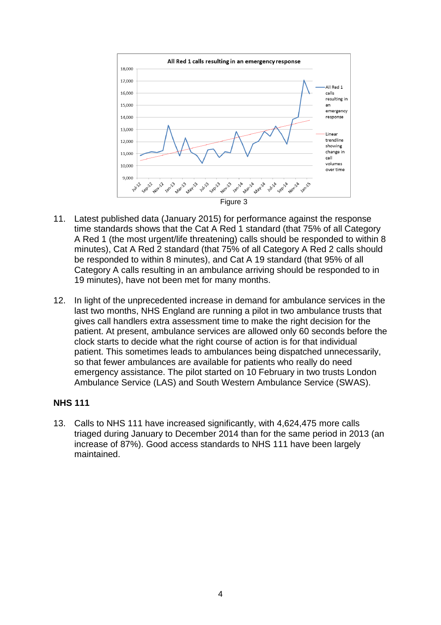

- 11. Latest published data (January 2015) for performance against the response time standards shows that the Cat A Red 1 standard (that 75% of all Category A Red 1 (the most urgent/life threatening) calls should be responded to within 8 minutes), Cat A Red 2 standard (that 75% of all Category A Red 2 calls should be responded to within 8 minutes), and Cat A 19 standard (that 95% of all Category A calls resulting in an ambulance arriving should be responded to in 19 minutes), have not been met for many months.
- 12. In light of the unprecedented increase in demand for ambulance services in the last two months, NHS England are running a pilot in two ambulance trusts that gives call handlers extra assessment time to make the right decision for the patient. At present, ambulance services are allowed only 60 seconds before the clock starts to decide what the right course of action is for that individual patient. This sometimes leads to ambulances being dispatched unnecessarily, so that fewer ambulances are available for patients who really do need emergency assistance. The pilot started on 10 February in two trusts London Ambulance Service (LAS) and South Western Ambulance Service (SWAS).

## **NHS 111**

13. Calls to NHS 111 have increased significantly, with 4,624,475 more calls triaged during January to December 2014 than for the same period in 2013 (an increase of 87%). Good access standards to NHS 111 have been largely maintained.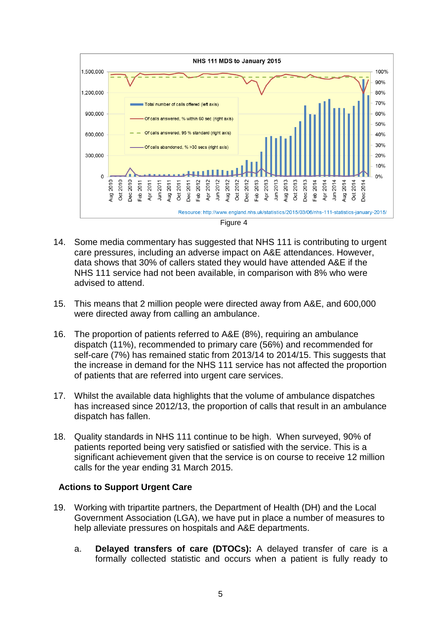

- 14. Some media commentary has suggested that NHS 111 is contributing to urgent care pressures, including an adverse impact on A&E attendances. However, data shows that 30% of callers stated they would have attended A&E if the NHS 111 service had not been available, in comparison with 8% who were advised to attend.
- 15. This means that 2 million people were directed away from A&E, and 600,000 were directed away from calling an ambulance.
- 16. The proportion of patients referred to A&E (8%), requiring an ambulance dispatch (11%), recommended to primary care (56%) and recommended for self-care (7%) has remained static from 2013/14 to 2014/15. This suggests that the increase in demand for the NHS 111 service has not affected the proportion of patients that are referred into urgent care services.
- 17. Whilst the available data highlights that the volume of ambulance dispatches has increased since 2012/13, the proportion of calls that result in an ambulance dispatch has fallen.
- 18. Quality standards in NHS 111 continue to be high. When surveyed, 90% of patients reported being very satisfied or satisfied with the service. This is a significant achievement given that the service is on course to receive 12 million calls for the year ending 31 March 2015.

## **Actions to Support Urgent Care**

- 19. Working with tripartite partners, the Department of Health (DH) and the Local Government Association (LGA), we have put in place a number of measures to help alleviate pressures on hospitals and A&E departments.
	- a. **Delayed transfers of care (DTOCs):** A delayed transfer of care is a formally collected statistic and occurs when a patient is fully ready to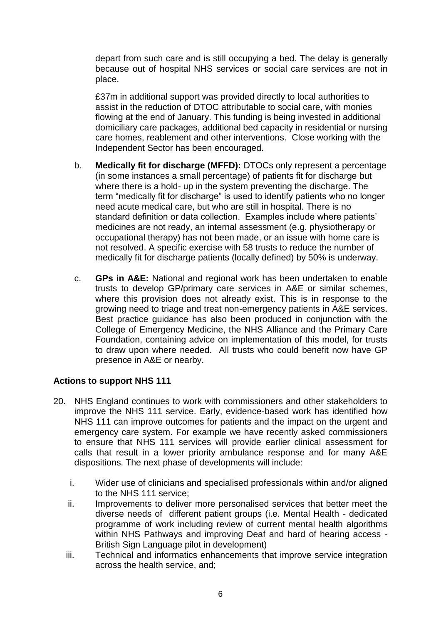depart from such care and is still occupying a bed. The delay is generally because out of hospital NHS services or social care services are not in place.

£37m in additional support was provided directly to local authorities to assist in the reduction of DTOC attributable to social care, with monies flowing at the end of January. This funding is being invested in additional domiciliary care packages, additional bed capacity in residential or nursing care homes, reablement and other interventions. Close working with the Independent Sector has been encouraged.

- b. **Medically fit for discharge (MFFD):** DTOCs only represent a percentage (in some instances a small percentage) of patients fit for discharge but where there is a hold- up in the system preventing the discharge. The term "medically fit for discharge" is used to identify patients who no longer need acute medical care, but who are still in hospital. There is no standard definition or data collection. Examples include where patients' medicines are not ready, an internal assessment (e.g. physiotherapy or occupational therapy) has not been made, or an issue with home care is not resolved. A specific exercise with 58 trusts to reduce the number of medically fit for discharge patients (locally defined) by 50% is underway.
- c. **GPs in A&E:** National and regional work has been undertaken to enable trusts to develop GP/primary care services in A&E or similar schemes, where this provision does not already exist. This is in response to the growing need to triage and treat non-emergency patients in A&E services. Best practice guidance has also been produced in conjunction with the College of Emergency Medicine, the NHS Alliance and the Primary Care Foundation, containing advice on implementation of this model, for trusts to draw upon where needed. All trusts who could benefit now have GP presence in A&E or nearby.

## **Actions to support NHS 111**

- 20. NHS England continues to work with commissioners and other stakeholders to improve the NHS 111 service. Early, evidence-based work has identified how NHS 111 can improve outcomes for patients and the impact on the urgent and emergency care system. For example we have recently asked commissioners to ensure that NHS 111 services will provide earlier clinical assessment for calls that result in a lower priority ambulance response and for many A&E dispositions. The next phase of developments will include:
	- i. Wider use of clinicians and specialised professionals within and/or aligned to the NHS 111 service;
	- ii. Improvements to deliver more personalised services that better meet the diverse needs of different patient groups (i.e. Mental Health - dedicated programme of work including review of current mental health algorithms within NHS Pathways and improving Deaf and hard of hearing access - British Sign Language pilot in development)
	- iii. Technical and informatics enhancements that improve service integration across the health service, and;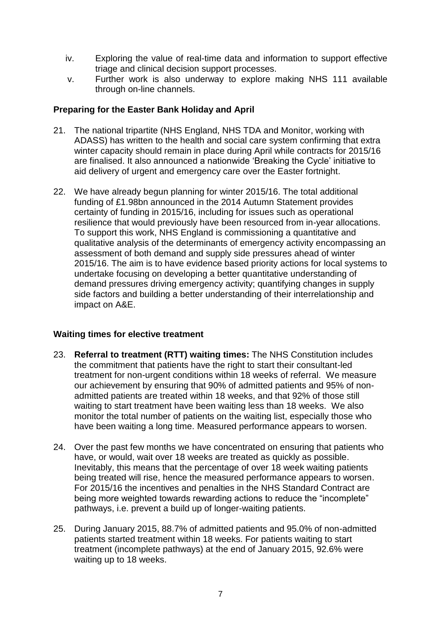- iv. Exploring the value of real-time data and information to support effective triage and clinical decision support processes.
- v. Further work is also underway to explore making NHS 111 available through on-line channels.

## **Preparing for the Easter Bank Holiday and April**

- 21. The national tripartite (NHS England, NHS TDA and Monitor, working with ADASS) has written to the health and social care system confirming that extra winter capacity should remain in place during April while contracts for 2015/16 are finalised. It also announced a nationwide 'Breaking the Cycle' initiative to aid delivery of urgent and emergency care over the Easter fortnight.
- 22. We have already begun planning for winter 2015/16. The total additional funding of £1.98bn announced in the 2014 Autumn Statement provides certainty of funding in 2015/16, including for issues such as operational resilience that would previously have been resourced from in-year allocations. To support this work, NHS England is commissioning a quantitative and qualitative analysis of the determinants of emergency activity encompassing an assessment of both demand and supply side pressures ahead of winter 2015/16. The aim is to have evidence based priority actions for local systems to undertake focusing on developing a better quantitative understanding of demand pressures driving emergency activity; quantifying changes in supply side factors and building a better understanding of their interrelationship and impact on A&E.

## **Waiting times for elective treatment**

- 23. **Referral to treatment (RTT) waiting times:** The NHS Constitution includes the commitment that patients have the right to start their consultant-led treatment for non-urgent conditions within 18 weeks of referral. We measure our achievement by ensuring that 90% of admitted patients and 95% of nonadmitted patients are treated within 18 weeks, and that 92% of those still waiting to start treatment have been waiting less than 18 weeks. We also monitor the total number of patients on the waiting list, especially those who have been waiting a long time. Measured performance appears to worsen.
- 24. Over the past few months we have concentrated on ensuring that patients who have, or would, wait over 18 weeks are treated as quickly as possible. Inevitably, this means that the percentage of over 18 week waiting patients being treated will rise, hence the measured performance appears to worsen. For 2015/16 the incentives and penalties in the NHS Standard Contract are being more weighted towards rewarding actions to reduce the "incomplete" pathways, i.e. prevent a build up of longer-waiting patients.
- 25. During January 2015, 88.7% of admitted patients and 95.0% of non-admitted patients started treatment within 18 weeks. For patients waiting to start treatment (incomplete pathways) at the end of January 2015, 92.6% were waiting up to 18 weeks.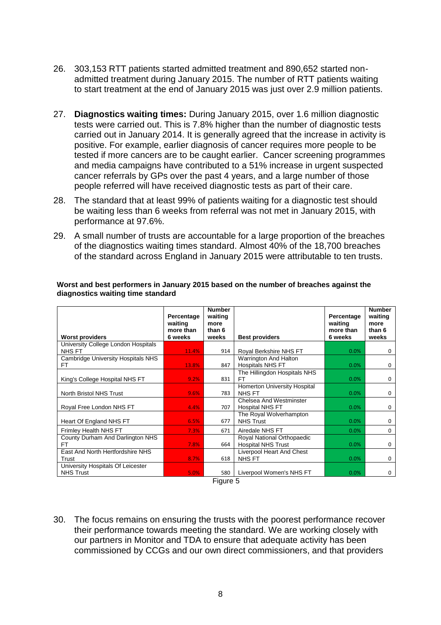- 26. 303,153 RTT patients started admitted treatment and 890,652 started nonadmitted treatment during January 2015. The number of RTT patients waiting to start treatment at the end of January 2015 was just over 2.9 million patients.
- 27. **Diagnostics waiting times:** During January 2015, over 1.6 million diagnostic tests were carried out. This is 7.8% higher than the number of diagnostic tests carried out in January 2014. It is generally agreed that the increase in activity is positive. For example, earlier diagnosis of cancer requires more people to be tested if more cancers are to be caught earlier. Cancer screening programmes and media campaigns have contributed to a 51% increase in urgent suspected cancer referrals by GPs over the past 4 years, and a large number of those people referred will have received diagnostic tests as part of their care.
- 28. The standard that at least 99% of patients waiting for a diagnostic test should be waiting less than 6 weeks from referral was not met in January 2015, with performance at 97.6%.
- 29. A small number of trusts are accountable for a large proportion of the breaches of the diagnostics waiting times standard. Almost 40% of the 18,700 breaches of the standard across England in January 2015 were attributable to ten trusts.

| <b>Worst providers</b>                                | Percentage<br>waiting<br>more than<br>6 weeks | <b>Number</b><br>waiting<br>more<br>than 6<br>weeks | <b>Best providers</b>                                                             | Percentage<br>waiting<br>more than<br>6 weeks | <b>Number</b><br>waiting<br>more<br>than 6<br>weeks |  |  |  |  |
|-------------------------------------------------------|-----------------------------------------------|-----------------------------------------------------|-----------------------------------------------------------------------------------|-----------------------------------------------|-----------------------------------------------------|--|--|--|--|
| University College London Hospitals                   |                                               |                                                     |                                                                                   |                                               |                                                     |  |  |  |  |
| NHS FT<br>Cambridge University Hospitals NHS<br>FT.   | 11.4%<br>13.8%                                | 914<br>847                                          | Royal Berkshire NHS FT<br><b>Warrington And Halton</b><br><b>Hospitals NHS FT</b> | 0.0%<br>0.0%                                  | 0<br>$\Omega$                                       |  |  |  |  |
| King's College Hospital NHS FT                        | 9.2%                                          | 831                                                 | The Hillingdon Hospitals NHS<br><b>FT</b>                                         | 0.0%                                          | 0                                                   |  |  |  |  |
| North Bristol NHS Trust                               | 9.6%                                          | 783                                                 | Homerton University Hospital<br>NHS FT                                            | 0.0%                                          | 0                                                   |  |  |  |  |
| Royal Free London NHS FT                              | 4.4%                                          | 707                                                 | <b>Chelsea And Westminster</b><br><b>Hospital NHS FT</b>                          | 0.0%                                          | 0                                                   |  |  |  |  |
| Heart Of England NHS FT                               | 6.5%                                          | 677                                                 | The Royal Wolverhampton<br><b>NHS Trust</b>                                       | 0.0%                                          | $\Omega$                                            |  |  |  |  |
| Frimley Health NHS FT                                 | 7.3%                                          | 671                                                 | Airedale NHS FT                                                                   | 0.0%                                          | $\Omega$                                            |  |  |  |  |
| County Durham And Darlington NHS<br>FT.               | 7.8%                                          | 664                                                 | Royal National Orthopaedic<br><b>Hospital NHS Trust</b>                           | 0.0%                                          | $\mathbf 0$                                         |  |  |  |  |
| East And North Hertfordshire NHS<br>Trust             | 8.7%                                          | 618                                                 | Liverpool Heart And Chest<br>NHS FT                                               | 0.0%                                          | $\Omega$                                            |  |  |  |  |
| University Hospitals Of Leicester<br><b>NHS Trust</b> | 5.0%                                          | 580                                                 | Liverpool Women's NHS FT                                                          | 0.0%                                          | 0                                                   |  |  |  |  |
| Figure 5                                              |                                               |                                                     |                                                                                   |                                               |                                                     |  |  |  |  |

#### **Worst and best performers in January 2015 based on the number of breaches against the diagnostics waiting time standard**

30. The focus remains on ensuring the trusts with the poorest performance recover their performance towards meeting the standard. We are working closely with our partners in Monitor and TDA to ensure that adequate activity has been commissioned by CCGs and our own direct commissioners, and that providers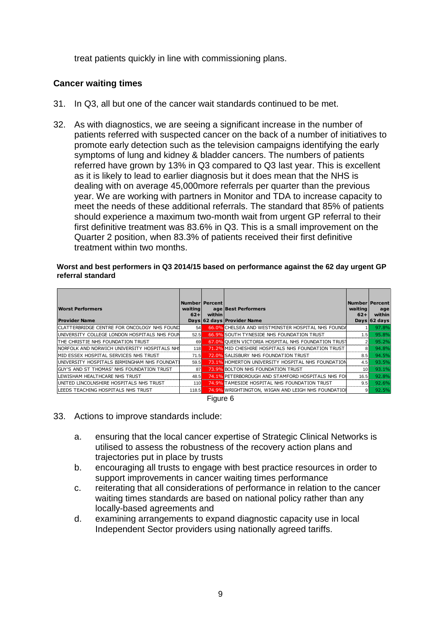treat patients quickly in line with commissioning plans.

## **Cancer waiting times**

- 31. In Q3, all but one of the cancer wait standards continued to be met.
- 32. As with diagnostics, we are seeing a significant increase in the number of patients referred with suspected cancer on the back of a number of initiatives to promote early detection such as the television campaigns identifying the early symptoms of lung and kidney & bladder cancers. The numbers of patients referred have grown by 13% in Q3 compared to Q3 last year. This is excellent as it is likely to lead to earlier diagnosis but it does mean that the NHS is dealing with on average 45,000more referrals per quarter than the previous year. We are working with partners in Monitor and TDA to increase capacity to meet the needs of these additional referrals. The standard that 85% of patients should experience a maximum two-month wait from urgent GP referral to their first definitive treatment was 83.6% in Q3. This is a small improvement on the Quarter 2 position, when 83.3% of patients received their first definitive treatment within two months.

#### **Worst and best performers in Q3 2014/15 based on performance against the 62 day urgent GP referral standard**

| <b>Worst Performers</b><br><b>Provider Name</b>     | waiting<br>$62 +$ | Numberl Percent<br>within | age Best Performers<br>Days 62 days Provider Name  | <b>Number Percent</b><br>waiting<br>$62+$ | age<br>within<br>Days 62 days |
|-----------------------------------------------------|-------------------|---------------------------|----------------------------------------------------|-------------------------------------------|-------------------------------|
| <b>ICLATTERBRIDGE CENTRE FOR ONCOLOGY NHS FOUND</b> | 54                |                           | 66.0% CHELSEA AND WESTMINSTER HOSPITAL NHS FOUNDA  |                                           | 97.8%                         |
| UNIVERSITY COLLEGE LONDON HOSPITALS NHS FOUN        | 52.5              |                           | 66.9% SOUTH TYNESIDE NHS FOUNDATION TRUST          | 1.51                                      | 95.8%                         |
| ITHE CHRISTIE NHS FOUNDATION TRUST                  | 69                |                           | 67.0% QUEEN VICTORIA HOSPITAL NHS FOUNDATION TRUST |                                           | 95.2%                         |
| INORFOLK AND NORWICH UNIVERSITY HOSPITALS NHS       | 118               |                           | 71.2% MID CHESHIRE HOSPITALS NHS FOUNDATION TRUST  |                                           | 94.8%                         |
| IMID ESSEX HOSPITAL SERVICES NHS TRUST              | 71.5              |                           | 72.0% SALISBURY NHS FOUNDATION TRUST               | 8.5                                       | 94.5%                         |
| IUNIVERSITY HOSPITALS BIRMINGHAM NHS FOUNDAT!       | 59.5              |                           | 73.1% HOMERTON UNIVERSITY HOSPITAL NHS FOUNDATION  | 4.5                                       | 93.5%                         |
| <b>IGUY'S AND ST THOMAS' NHS FOUNDATION TRUST</b>   | 87                |                           | 73.9% BOLTON NHS FOUNDATION TRUST                  | 10 <sup>1</sup>                           | 93.1%                         |
| LEWISHAM HEALTHCARE NHS TRUST                       | 48.5              |                           | 74.1% PETERBOROUGH AND STAMFORD HOSPITALS NHS FOU  | 16.5                                      | 92.8%                         |
| UNITED LINCOLNSHIRE HOSPITALS NHS TRUST             | 110               |                           | 74.9% TAMESIDE HOSPITAL NHS FOUNDATION TRUST       | 9.5                                       | 92.6%                         |
| LEEDS TEACHING HOSPITALS NHS TRUST                  | 118.5             |                           | 74.9% WRIGHTINGTON, WIGAN AND LEIGH NHS FOUNDATION | 9                                         | 92.5%                         |

Figure 6

- 33. Actions to improve standards include:
	- a. ensuring that the local cancer expertise of Strategic Clinical Networks is utilised to assess the robustness of the recovery action plans and trajectories put in place by trusts
	- b. encouraging all trusts to engage with best practice resources in order to support improvements in cancer waiting times performance
	- c. reiterating that all considerations of performance in relation to the cancer waiting times standards are based on national policy rather than any locally-based agreements and
	- d. examining arrangements to expand diagnostic capacity use in local Independent Sector providers using nationally agreed tariffs.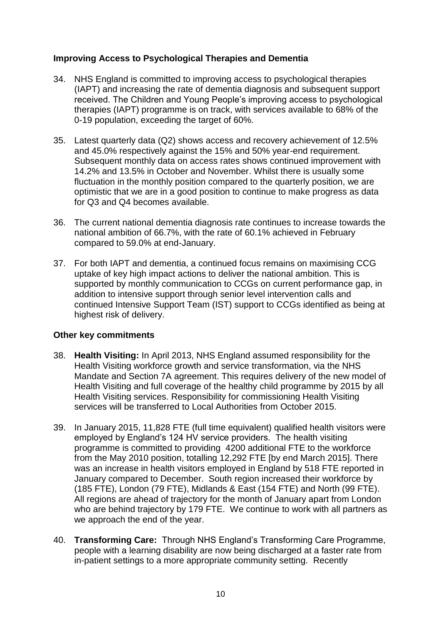## **Improving Access to Psychological Therapies and Dementia**

- 34. NHS England is committed to improving access to psychological therapies (IAPT) and increasing the rate of dementia diagnosis and subsequent support received. The Children and Young People's improving access to psychological therapies (IAPT) programme is on track, with services available to 68% of the 0-19 population, exceeding the target of 60%.
- 35. Latest quarterly data (Q2) shows access and recovery achievement of 12.5% and 45.0% respectively against the 15% and 50% year-end requirement. Subsequent monthly data on access rates shows continued improvement with 14.2% and 13.5% in October and November. Whilst there is usually some fluctuation in the monthly position compared to the quarterly position, we are optimistic that we are in a good position to continue to make progress as data for Q3 and Q4 becomes available.
- 36. The current national dementia diagnosis rate continues to increase towards the national ambition of 66.7%, with the rate of 60.1% achieved in February compared to 59.0% at end-January.
- 37. For both IAPT and dementia, a continued focus remains on maximising CCG uptake of key high impact actions to deliver the national ambition. This is supported by monthly communication to CCGs on current performance gap, in addition to intensive support through senior level intervention calls and continued Intensive Support Team (IST) support to CCGs identified as being at highest risk of delivery.

## **Other key commitments**

- 38. **Health Visiting:** In April 2013, NHS England assumed responsibility for the Health Visiting workforce growth and service transformation, via the NHS Mandate and Section 7A agreement. This requires delivery of the new model of Health Visiting and full coverage of the healthy child programme by 2015 by all Health Visiting services. Responsibility for commissioning Health Visiting services will be transferred to Local Authorities from October 2015.
- 39. In January 2015, 11,828 FTE (full time equivalent) qualified health visitors were employed by England's 124 HV service providers. The health visiting programme is committed to providing 4200 additional FTE to the workforce from the May 2010 position, totalling 12,292 FTE [by end March 2015]. There was an increase in health visitors employed in England by 518 FTE reported in January compared to December. South region increased their workforce by (185 FTE), London (79 FTE), Midlands & East (154 FTE) and North (99 FTE). All regions are ahead of trajectory for the month of January apart from London who are behind trajectory by 179 FTE. We continue to work with all partners as we approach the end of the year.
- 40. **Transforming Care:** Through NHS England's Transforming Care Programme, people with a learning disability are now being discharged at a faster rate from in-patient settings to a more appropriate community setting. Recently